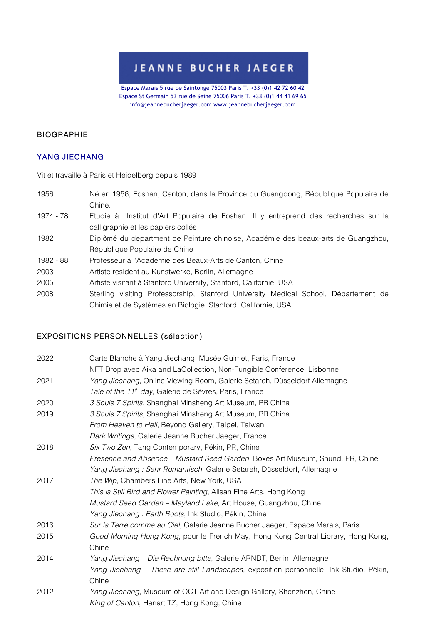## **JEANNE BUCHER JAEGER**

Espace Marais 5 rue de Saintonge 75003 Paris T. +33 (0)1 42 72 60 42 Espace St Germain 53 rue de Seine 75006 Paris T. +33 (0)1 44 41 69 65 info@jeannebucherjaeger.com www.jeannebucherjaeger.com

#### BIOGRAPHIE

### YANG JIECHANG

Vit et travaille à Paris et Heidelberg depuis 1989

- 1956 Né en 1956, Foshan, Canton, dans la Province du Guangdong, République Populaire de Chine.
- 1974 78 Etudie à l'Institut d'Art Populaire de Foshan. Il y entreprend des recherches sur la calligraphie et les papiers collés
- 1982 Diplômé du department de Peinture chinoise, Académie des beaux-arts de Guangzhou, République Populaire de Chine
- 1982 88 Professeur à l'Académie des Beaux-Arts de Canton, Chine
- 2003 Artiste resident au Kunstwerke, Berlin, Allemagne
- 2005 Artiste visitant à Stanford University, Stanford, Californie, USA
- 2008 Sterling visiting Professorship, Stanford University Medical School, Département de Chimie et de Systèmes en Biologie, Stanford, Californie, USA

## EXPOSITIONS PERSONNELLES (sélection)

| 2022 | Carte Blanche à Yang Jiechang, Musée Guimet, Paris, France                             |
|------|----------------------------------------------------------------------------------------|
|      | NFT Drop avec Aika and LaCollection, Non-Fungible Conference, Lisbonne                 |
| 2021 | Yang Jiechang, Online Viewing Room, Galerie Setareh, Düsseldorf Allemagne              |
|      | Tale of the 11 <sup>th</sup> day, Galerie de Sèvres, Paris, France                     |
| 2020 | 3 Souls 7 Spirits, Shanghai Minsheng Art Museum, PR China                              |
| 2019 | 3 Souls 7 Spirits, Shanghai Minsheng Art Museum, PR China                              |
|      | From Heaven to Hell, Beyond Gallery, Taipei, Taiwan                                    |
|      | Dark Writings, Galerie Jeanne Bucher Jaeger, France                                    |
| 2018 | Six Two Zen, Tang Contemporary, Pékin, PR, Chine                                       |
|      | Presence and Absence - Mustard Seed Garden, Boxes Art Museum, Shund, PR, Chine         |
|      | Yang Jiechang: Sehr Romantisch, Galerie Setareh, Düsseldorf, Allemagne                 |
| 2017 | The Wip, Chambers Fine Arts, New York, USA                                             |
|      | This is Still Bird and Flower Painting, Alisan Fine Arts, Hong Kong                    |
|      | Mustard Seed Garden - Mayland Lake, Art House, Guangzhou, Chine                        |
|      | Yang Jiechang: Earth Roots, Ink Studio, Pékin, Chine                                   |
| 2016 | Sur la Terre comme au Ciel, Galerie Jeanne Bucher Jaeger, Espace Marais, Paris         |
| 2015 | Good Morning Hong Kong, pour le French May, Hong Kong Central Library, Hong Kong,      |
|      | Chine                                                                                  |
| 2014 | Yang Jiechang - Die Rechnung bitte, Galerie ARNDT, Berlin, Allemagne                   |
|      | Yang Jiechang - These are still Landscapes, exposition personnelle, Ink Studio, Pékin, |
|      | Chine                                                                                  |
| 2012 | Yang Jiechang, Museum of OCT Art and Design Gallery, Shenzhen, Chine                   |
|      | King of Canton, Hanart TZ, Hong Kong, Chine                                            |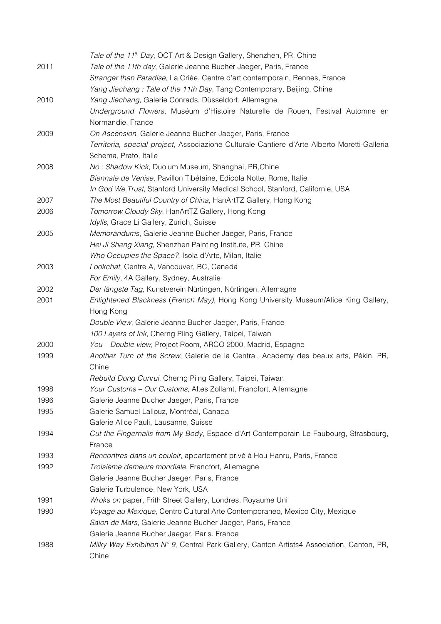|      | Tale of the 11 <sup>th</sup> Day, OCT Art & Design Gallery, Shenzhen, PR, Chine              |
|------|----------------------------------------------------------------------------------------------|
| 2011 | Tale of the 11th day, Galerie Jeanne Bucher Jaeger, Paris, France                            |
|      | Stranger than Paradise, La Criée, Centre d'art contemporain, Rennes, France                  |
|      | Yang Jiechang: Tale of the 11th Day, Tang Contemporary, Beijing, Chine                       |
| 2010 | Yang Jiechang, Galerie Conrads, Düsseldorf, Allemagne                                        |
|      | Underground Flowers, Muséum d'Histoire Naturelle de Rouen, Festival Automne en               |
|      | Normandie, France                                                                            |
| 2009 | On Ascension, Galerie Jeanne Bucher Jaeger, Paris, France                                    |
|      | Territoria, special project, Associazione Culturale Cantiere d'Arte Alberto Moretti-Galleria |
|      | Schema, Prato, Italie                                                                        |
| 2008 | No: Shadow Kick, Duolum Museum, Shanghai, PR, Chine                                          |
|      | Biennale de Venise, Pavillon Tibétaine, Edicola Notte, Rome, Italie                          |
|      | In God We Trust, Stanford University Medical School, Stanford, Californie, USA               |
| 2007 | The Most Beautiful Country of China, HanArtTZ Gallery, Hong Kong                             |
| 2006 | Tomorrow Cloudy Sky, HanArtTZ Gallery, Hong Kong                                             |
|      | Idylls, Grace Li Gallery, Zürich, Suisse                                                     |
| 2005 | Memorandums, Galerie Jeanne Bucher Jaeger, Paris, France                                     |
|      | Hei Ji Sheng Xiang, Shenzhen Painting Institute, PR, Chine                                   |
|      | Who Occupies the Space?, Isola d'Arte, Milan, Italie                                         |
| 2003 | Lookchat, Centre A, Vancouver, BC, Canada                                                    |
|      | For Emily, 4A Gallery, Sydney, Australie                                                     |
| 2002 | Der längste Tag, Kunstverein Nürtingen, Nürtingen, Allemagne                                 |
| 2001 | Enlightened Blackness (French May), Hong Kong University Museum/Alice King Gallery,          |
|      | Hong Kong                                                                                    |
|      | Double View, Galerie Jeanne Bucher Jaeger, Paris, France                                     |
|      | 100 Layers of Ink, Cherng Piing Gallery, Taipei, Taiwan                                      |
| 2000 | You - Double view, Project Room, ARCO 2000, Madrid, Espagne                                  |
| 1999 | Another Turn of the Screw, Galerie de la Central, Academy des beaux arts, Pékin, PR,         |
|      | Chine                                                                                        |
|      | Rebuild Dong Cunrui, Cherng Piing Gallery, Taipei, Taiwan                                    |
| 1998 | Your Customs - Our Customs, Altes Zollamt, Francfort, Allemagne                              |
| 1996 | Galerie Jeanne Bucher Jaeger, Paris, France                                                  |
| 1995 | Galerie Samuel Lallouz, Montréal, Canada                                                     |
|      | Galerie Alice Pauli, Lausanne, Suisse                                                        |
| 1994 | Cut the Fingernails from My Body, Espace d'Art Contemporain Le Faubourg, Strasbourg,         |
|      | France                                                                                       |
| 1993 | Rencontres dans un couloir, appartement privé à Hou Hanru, Paris, France                     |
| 1992 | Troisième demeure mondiale, Francfort, Allemagne                                             |
|      | Galerie Jeanne Bucher Jaeger, Paris, France                                                  |
|      | Galerie Turbulence, New York, USA                                                            |
| 1991 | Wroks on paper, Frith Street Gallery, Londres, Royaume Uni                                   |
| 1990 | Voyage au Mexique, Centro Cultural Arte Contemporaneo, Mexico City, Mexique                  |
|      | Salon de Mars, Galerie Jeanne Bucher Jaeger, Paris, France                                   |
|      | Galerie Jeanne Bucher Jaeger, Paris. France                                                  |
| 1988 | Milky Way Exhibition Nº 9, Central Park Gallery, Canton Artists4 Association, Canton, PR,    |
|      | Chine                                                                                        |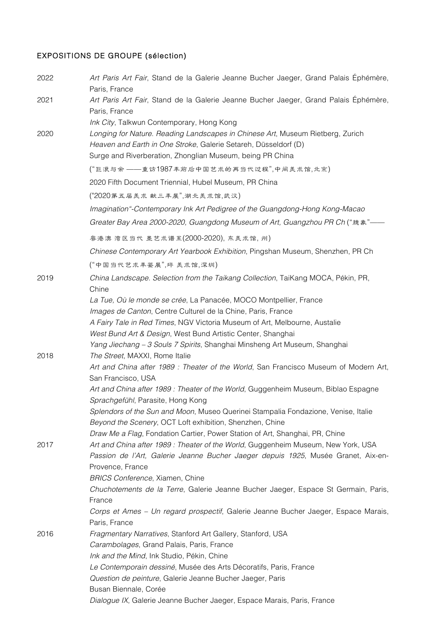# EXPOSITIONS DE GROUPE (sélection)

| 2022 | Art Paris Art Fair, Stand de la Galerie Jeanne Bucher Jaeger, Grand Palais Ephémère,<br>Paris, France                                          |
|------|------------------------------------------------------------------------------------------------------------------------------------------------|
| 2021 | Art Paris Art Fair, Stand de la Galerie Jeanne Bucher Jaeger, Grand Palais Éphémère,<br>Paris, France                                          |
|      | Ink City, Talkwun Contemporary, Hong Kong                                                                                                      |
| 2020 | Longing for Nature. Reading Landscapes in Chinese Art, Museum Rietberg, Zurich                                                                 |
|      | Heaven and Earth in One Stroke, Galerie Setareh, Düsseldorf (D)                                                                                |
|      | Surge and Riverberation, Zhonglian Museum, being PR China                                                                                      |
|      | ("巨浪与余 ——重访1987年前后中国艺术的再当代过程",中间美术馆,北京)                                                                                                        |
|      | 2020 Fifth Document Triennial, Hubel Museum, PR China                                                                                          |
|      | ("2020第五届美术献三丰展",湖北美术馆,武汉)                                                                                                                     |
|      | Imagination"-Contemporary Ink Art Pedigree of the Guangdong-Hong Kong-Macao                                                                    |
|      | Greater Bay Area 2000-2020, Guangdong Museum of Art, Guangzhou PR Ch ("臆象"—                                                                    |
|      | 粤港澳湾区当代 墨艺术谱系(2000-2020), 东美术馆, 州)                                                                                                             |
|      | Chinese Contemporary Art Yearbook Exhibition, Pingshan Museum, Shenzhen, PR Ch                                                                 |
|      | ("中国当代艺术丰鉴展",坪 美术馆,深圳)                                                                                                                         |
| 2019 | China Landscape. Selection from the Taikang Collection, TaiKang MOCA, Pékin, PR,<br>Chine                                                      |
|      | La Tue, Où le monde se crée, La Panacée, MOCO Montpellier, France                                                                              |
|      | Images de Canton, Centre Culturel de la Chine, Paris, France                                                                                   |
|      | A Fairy Tale in Red Times, NGV Victoria Museum of Art, Melbourne, Austalie                                                                     |
|      | West Bund Art & Design, West Bund Artistic Center, Shanghai                                                                                    |
|      | Yang Jiechang - 3 Souls 7 Spirits, Shanghai Minsheng Art Museum, Shanghai                                                                      |
| 2018 | The Street, MAXXI, Rome Italie                                                                                                                 |
|      | Art and China after 1989 : Theater of the World, San Francisco Museum of Modern Art,<br>San Francisco, USA                                     |
|      | Art and China after 1989 : Theater of the World, Guggenheim Museum, Biblao Espagne<br>Sprachgefühl, Parasite, Hong Kong                        |
|      | Splendors of the Sun and Moon, Museo Querinei Stampalia Fondazione, Venise, Italie<br>Beyond the Scenery, OCT Loft exhibition, Shenzhen, Chine |
|      | Draw Me a Flag, Fondation Cartier, Power Station of Art, Shanghai, PR, Chine                                                                   |
| 2017 | Art and China after 1989 : Theater of the World, Guggenheim Museum, New York, USA                                                              |
|      | Passion de l'Art, Galerie Jeanne Bucher Jaeger depuis 1925, Musée Granet, Aix-en-                                                              |
|      | Provence, France                                                                                                                               |
|      | <b>BRICS Conference, Xiamen, Chine</b>                                                                                                         |
|      | Chuchotements de la Terre, Galerie Jeanne Bucher Jaeger, Espace St Germain, Paris,                                                             |
|      | France                                                                                                                                         |
|      | Corps et Ames - Un regard prospectif, Galerie Jeanne Bucher Jaeger, Espace Marais,<br>Paris, France                                            |
| 2016 | Fragmentary Narratives, Stanford Art Gallery, Stanford, USA                                                                                    |
|      | Carambolages, Grand Palais, Paris, France                                                                                                      |
|      | Ink and the Mind, Ink Studio, Pékin, Chine                                                                                                     |
|      | Le Contemporain dessiné, Musée des Arts Décoratifs, Paris, France                                                                              |
|      | Question de peinture, Galerie Jeanne Bucher Jaeger, Paris                                                                                      |
|      | Busan Biennale, Corée                                                                                                                          |
|      | Dialogue IX, Galerie Jeanne Bucher Jaeger, Espace Marais, Paris, France                                                                        |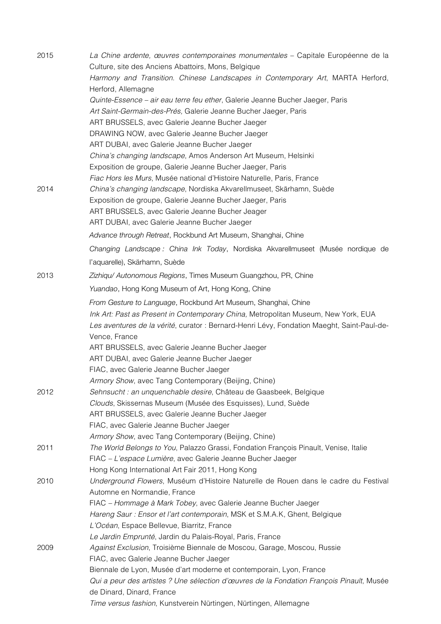| 2015 | La Chine ardente, œuvres contemporaines monumentales – Capitale Européenne de la           |
|------|--------------------------------------------------------------------------------------------|
|      | Culture, site des Anciens Abattoirs, Mons, Belgique                                        |
|      | Harmony and Transition. Chinese Landscapes in Contemporary Art, MARTA Herford,             |
|      | Herford, Allemagne                                                                         |
|      | Quinte-Essence - air eau terre feu ether, Galerie Jeanne Bucher Jaeger, Paris              |
|      | Art Saint-Germain-des-Prés, Galerie Jeanne Bucher Jaeger, Paris                            |
|      | ART BRUSSELS, avec Galerie Jeanne Bucher Jaeger                                            |
|      | DRAWING NOW, avec Galerie Jeanne Bucher Jaeger                                             |
|      | ART DUBAI, avec Galerie Jeanne Bucher Jaeger                                               |
|      | China's changing landscape, Amos Anderson Art Museum, Helsinki                             |
|      | Exposition de groupe, Galerie Jeanne Bucher Jaeger, Paris                                  |
|      | Fiac Hors les Murs, Musée national d'Histoire Naturelle, Paris, France                     |
| 2014 | China's changing landscape, Nordiska Akvarellmuseet, Skärhamn, Suède                       |
|      | Exposition de groupe, Galerie Jeanne Bucher Jaeger, Paris                                  |
|      | ART BRUSSELS, avec Galerie Jeanne Bucher Jeager                                            |
|      | ART DUBAI, avec Galerie Jeanne Bucher Jaeger                                               |
|      | Advance through Retreat, Rockbund Art Museum, Shanghai, Chine                              |
|      | Changing Landscape: China Ink Today, Nordiska Akvarellmuseet (Musée nordique de            |
|      | l'aquarelle), Skärhamn, Suède                                                              |
| 2013 | Zizhiqu/ Autonomous Regions, Times Museum Guangzhou, PR, Chine                             |
|      | Yuandao, Hong Kong Museum of Art, Hong Kong, Chine                                         |
|      | From Gesture to Language, Rockbund Art Museum, Shanghai, Chine                             |
|      | Ink Art: Past as Present in Contemporary China, Metropolitan Museum, New York, EUA         |
|      | Les aventures de la vérité, curator : Bernard-Henri Lévy, Fondation Maeght, Saint-Paul-de- |
|      | Vence, France                                                                              |
|      | ART BRUSSELS, avec Galerie Jeanne Bucher Jaeger                                            |
|      | ART DUBAI, avec Galerie Jeanne Bucher Jaeger                                               |
|      | FIAC, avec Galerie Jeanne Bucher Jaeger                                                    |
|      | Armory Show, avec Tang Contemporary (Beijing, Chine)                                       |
| 2012 | Sehnsucht : an unquenchable desire, Château de Gaasbeek, Belgique                          |
|      | Clouds, Skissernas Museum (Musée des Esquisses), Lund, Suède                               |
|      | ART BRUSSELS, avec Galerie Jeanne Bucher Jaeger                                            |
|      | FIAC, avec Galerie Jeanne Bucher Jaeger                                                    |
|      | Armory Show, avec Tang Contemporary (Beijing, Chine)                                       |
| 2011 | The World Belongs to You, Palazzo Grassi, Fondation François Pinault, Venise, Italie       |
|      | FIAC - L'espace Lumière, avec Galerie Jeanne Bucher Jaeger                                 |
|      | Hong Kong International Art Fair 2011, Hong Kong                                           |
| 2010 | Underground Flowers, Muséum d'Histoire Naturelle de Rouen dans le cadre du Festival        |
|      | Automne en Normandie, France                                                               |
|      | FIAC - Hommage à Mark Tobey, avec Galerie Jeanne Bucher Jaeger                             |
|      | Hareng Saur: Ensor et l'art contemporain, MSK et S.M.A.K, Ghent, Belgique                  |
|      | L'Océan, Espace Bellevue, Biarritz, France                                                 |
|      | Le Jardin Emprunté, Jardin du Palais-Royal, Paris, France                                  |
| 2009 | Against Exclusion, Troisième Biennale de Moscou, Garage, Moscou, Russie                    |
|      | FIAC, avec Galerie Jeanne Bucher Jaeger                                                    |
|      | Biennale de Lyon, Musée d'art moderne et contemporain, Lyon, France                        |
|      | Qui a peur des artistes ? Une sélection d'œuvres de la Fondation François Pinault, Musée   |
|      | de Dinard, Dinard, France                                                                  |
|      | Time versus fashion, Kunstverein Nürtingen, Nürtingen, Allemagne                           |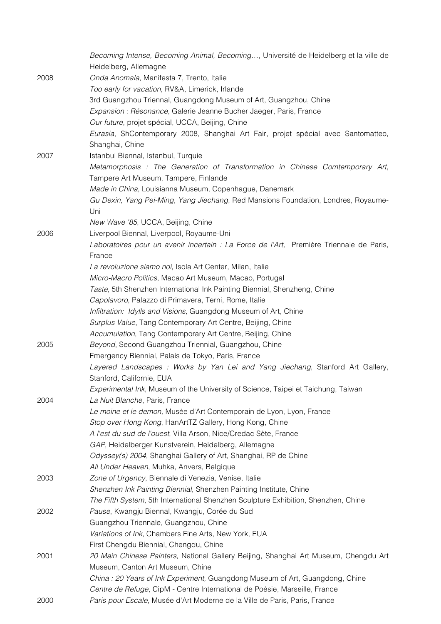|      | Becoming Intense, Becoming Animal, Becoming, Université de Heidelberg et la ville de<br>Heidelberg, Allemagne |
|------|---------------------------------------------------------------------------------------------------------------|
| 2008 | Onda Anomala, Manifesta 7, Trento, Italie                                                                     |
|      | Too early for vacation, RV&A, Limerick, Irlande                                                               |
|      | 3rd Guangzhou Triennal, Guangdong Museum of Art, Guangzhou, Chine                                             |
|      | Expansion : Résonance, Galerie Jeanne Bucher Jaeger, Paris, France                                            |
|      | Our future, projet spécial, UCCA, Beijing, Chine                                                              |
|      | Eurasia, ShContemporary 2008, Shanghai Art Fair, projet spécial avec Santomatteo,                             |
|      | Shanghai, Chine                                                                                               |
| 2007 | Istanbul Biennal, Istanbul, Turquie                                                                           |
|      | Metamorphosis: The Generation of Transformation in Chinese Comtemporary Art,                                  |
|      | Tampere Art Museum, Tampere, Finlande                                                                         |
|      | Made in China, Louisianna Museum, Copenhague, Danemark                                                        |
|      | Gu Dexin, Yang Pei-Ming, Yang Jiechang, Red Mansions Foundation, Londres, Royaume-                            |
|      | Uni                                                                                                           |
|      | New Wave '85, UCCA, Beijing, Chine                                                                            |
| 2006 | Liverpool Biennal, Liverpool, Royaume-Uni                                                                     |
|      | Laboratoires pour un avenir incertain : La Force de l'Art, Première Triennale de Paris,                       |
|      | France                                                                                                        |
|      | La revoluzione siamo noi, Isola Art Center, Milan, Italie                                                     |
|      | Micro-Macro Politics, Macao Art Museum, Macao, Portugal                                                       |
|      | Taste, 5th Shenzhen International Ink Painting Biennial, Shenzheng, Chine                                     |
|      | Capolavoro, Palazzo di Primavera, Terni, Rome, Italie                                                         |
|      | Infiltration: Idylls and Visions, Guangdong Museum of Art, Chine                                              |
|      | Surplus Value, Tang Contemporary Art Centre, Beijing, Chine                                                   |
|      | Accumulation, Tang Contemporary Art Centre, Beijing, Chine                                                    |
| 2005 | Beyond, Second Guangzhou Triennial, Guangzhou, Chine                                                          |
|      | Emergency Biennial, Palais de Tokyo, Paris, France                                                            |
|      | Layered Landscapes : Works by Yan Lei and Yang Jiechang, Stanford Art Gallery,                                |
|      | Stanford, Californie, EUA                                                                                     |
|      | Experimental Ink, Museum of the University of Science, Taipei et Taichung, Taiwan                             |
| 2004 | La Nuit Blanche, Paris, France                                                                                |
|      | Le moine et le demon, Musée d'Art Contemporain de Lyon, Lyon, France                                          |
|      | Stop over Hong Kong, HanArtTZ Gallery, Hong Kong, Chine                                                       |
|      | A l'est du sud de l'ouest, Villa Arson, Nice/Credac Sète, France                                              |
|      | GAP, Heidelberger Kunstverein, Heidelberg, Allemagne                                                          |
|      | Odyssey(s) 2004, Shanghai Gallery of Art, Shanghai, RP de Chine                                               |
|      | All Under Heaven, Muhka, Anvers, Belgique                                                                     |
| 2003 | Zone of Urgency, Biennale di Venezia, Venise, Italie                                                          |
|      | Shenzhen Ink Painting Biennial, Shenzhen Painting Institute, Chine                                            |
|      | The Fifth System, 5th International Shenzhen Sculpture Exhibition, Shenzhen, Chine                            |
| 2002 | Pause, Kwangju Biennal, Kwangju, Corée du Sud                                                                 |
|      | Guangzhou Triennale, Guangzhou, Chine                                                                         |
|      | Variations of Ink, Chambers Fine Arts, New York, EUA                                                          |
|      | First Chengdu Biennial, Chengdu, Chine                                                                        |
| 2001 | 20 Main Chinese Painters, National Gallery Beijing, Shanghai Art Museum, Chengdu Art                          |
|      | Museum, Canton Art Museum, Chine                                                                              |
|      | China: 20 Years of Ink Experiment, Guangdong Museum of Art, Guangdong, Chine                                  |
|      | Centre de Refuge, CipM - Centre International de Poésie, Marseille, France                                    |
| 2000 | Paris pour Escale, Musée d'Art Moderne de la Ville de Paris, Paris, France                                    |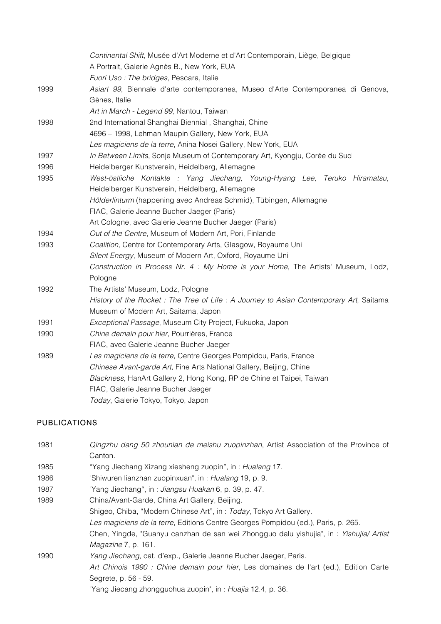|      | Continental Shift, Musée d'Art Moderne et d'Art Contemporain, Liège, Belgique         |
|------|---------------------------------------------------------------------------------------|
|      | A Portrait, Galerie Agnès B., New York, EUA                                           |
|      | Fuori Uso: The bridges, Pescara, Italie                                               |
| 1999 | Asiart 99, Biennale d'arte contemporanea, Museo d'Arte Contemporanea di Genova,       |
|      | Gènes, Italie                                                                         |
|      | Art in March - Legend 99, Nantou, Taiwan                                              |
| 1998 | 2nd International Shanghai Biennial, Shanghai, Chine                                  |
|      | 4696 - 1998, Lehman Maupin Gallery, New York, EUA                                     |
|      | Les magiciens de la terre, Anina Nosei Gallery, New York, EUA                         |
| 1997 | In Between Limits, Sonje Museum of Contemporary Art, Kyongju, Corée du Sud            |
| 1996 | Heidelberger Kunstverein, Heidelberg, Allemagne                                       |
| 1995 | West-östliche Kontakte : Yang Jiechang, Young-Hyang Lee, Teruko Hiramatsu,            |
|      | Heidelberger Kunstverein, Heidelberg, Allemagne                                       |
|      | Hölderlinturm (happening avec Andreas Schmid), Tübingen, Allemagne                    |
|      | FIAC, Galerie Jeanne Bucher Jaeger (Paris)                                            |
|      | Art Cologne, avec Galerie Jeanne Bucher Jaeger (Paris)                                |
| 1994 | Out of the Centre, Museum of Modern Art, Pori, Finlande                               |
| 1993 | Coalition, Centre for Contemporary Arts, Glasgow, Royaume Uni                         |
|      | Silent Energy, Museum of Modern Art, Oxford, Royaume Uni                              |
|      | Construction in Process Nr. 4 : My Home is your Home, The Artists' Museum, Lodz,      |
|      | Pologne                                                                               |
| 1992 | The Artists' Museum, Lodz, Pologne                                                    |
|      | History of the Rocket: The Tree of Life: A Journey to Asian Contemporary Art, Saitama |
|      | Museum of Modern Art, Saitama, Japon                                                  |
| 1991 | Exceptional Passage, Museum City Project, Fukuoka, Japon                              |
| 1990 | Chine demain pour hier, Pourrières, France                                            |
|      | FIAC, avec Galerie Jeanne Bucher Jaeger                                               |
| 1989 | Les magiciens de la terre, Centre Georges Pompidou, Paris, France                     |
|      | Chinese Avant-garde Art, Fine Arts National Gallery, Beijing, Chine                   |
|      | Blackness, HanArt Gallery 2, Hong Kong, RP de Chine et Taipei, Taiwan                 |
|      | FIAC, Galerie Jeanne Bucher Jaeger                                                    |
|      | Today, Galerie Tokyo, Tokyo, Japon                                                    |

## PUBLICATIONS

| 1981 | Qingzhu dang 50 zhounian de meishu zuopinzhan, Artist Association of the Province of    |
|------|-----------------------------------------------------------------------------------------|
|      | Canton.                                                                                 |
| 1985 | "Yang Jiechang Xizang xiesheng zuopin", in: Hualang 17.                                 |
| 1986 | "Shiwuren lianzhan zuopinxuan", in: Hualang 19, p. 9.                                   |
| 1987 | "Yang Jiechang", in: Jiangsu Huakan 6, p. 39, p. 47.                                    |
| 1989 | China/Avant-Garde, China Art Gallery, Beijing.                                          |
|      | Shigeo, Chiba, "Modern Chinese Art", in: Today, Tokyo Art Gallery.                      |
|      | Les magiciens de la terre, Editions Centre Georges Pompidou (ed.), Paris, p. 265.       |
|      | Chen, Yingde, "Guanyu canzhan de san wei Zhongguo dalu yishujia", in : Yishujia/ Artist |
|      | Magazine 7, p. 161.                                                                     |
| 1990 | Yang Jiechang, cat. d'exp., Galerie Jeanne Bucher Jaeger, Paris.                        |
|      | Art Chinois 1990 : Chine demain pour hier, Les domaines de l'art (ed.), Edition Carte   |
|      | Segrete, p. 56 - 59.                                                                    |
|      | "Yang Jiecang zhongguohua zuopin", in : Huajia 12.4, p. 36.                             |
|      |                                                                                         |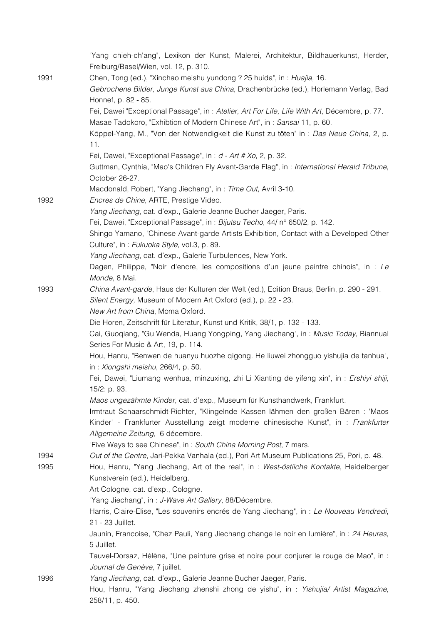|              | "Yang chieh-ch'ang", Lexikon der Kunst, Malerei, Architektur, Bildhauerkunst, Herder,<br>Freiburg/Basel/Wien, vol. 12, p. 310.                                                        |
|--------------|---------------------------------------------------------------------------------------------------------------------------------------------------------------------------------------|
| 1991         | Chen, Tong (ed.), "Xinchao meishu yundong ? 25 huida", in: Huajia, 16.<br>Gebrochene Bilder, Junge Kunst aus China, Drachenbrücke (ed.), Horlemann Verlag, Bad<br>Honnef, p. 82 - 85. |
|              | Fei, Dawei "Exceptional Passage", in: Atelier, Art For Life, Life With Art, Décembre, p. 77.                                                                                          |
|              | Masae Tadokoro, "Exhibtion of Modern Chinese Art", in: Sansai 11, p. 60.                                                                                                              |
|              | Köppel-Yang, M., "Von der Notwendigkeit die Kunst zu töten" in : Das Neue China, 2, p.<br>11.                                                                                         |
|              | Fei, Dawei, "Exceptional Passage", in: d - Art # Xo, 2, p. 32.                                                                                                                        |
|              | Guttman, Cynthia, "Mao's Children Fly Avant-Garde Flag", in: International Herald Tribune,<br>October 26-27.                                                                          |
| 1992         | Macdonald, Robert, "Yang Jiechang", in: Time Out, Avril 3-10.<br>Encres de Chine, ARTE, Prestige Video.                                                                               |
|              | Yang Jiechang, cat. d'exp., Galerie Jeanne Bucher Jaeger, Paris.                                                                                                                      |
|              | Fei, Dawei, "Exceptional Passage", in: Bijutsu Techo, 44/ n° 650/2, p. 142.                                                                                                           |
|              | Shingo Yamano, "Chinese Avant-garde Artists Exhibition, Contact with a Developed Other                                                                                                |
|              | Culture", in: Fukuoka Style, vol.3, p. 89.                                                                                                                                            |
|              | Yang Jiechang, cat. d'exp., Galerie Turbulences, New York.                                                                                                                            |
|              | Dagen, Philippe, "Noir d'encre, les compositions d'un jeune peintre chinois", in : Le<br>Monde, 8 Mai.                                                                                |
| 1993         | China Avant-garde, Haus der Kulturen der Welt (ed.), Edition Braus, Berlin, p. 290 - 291.<br>Silent Energy, Museum of Modern Art Oxford (ed.), p. 22 - 23.                            |
|              | New Art from China, Moma Oxford.                                                                                                                                                      |
|              | Die Horen, Zeitschrift für Literatur, Kunst und Kritik, 38/1, p. 132 - 133.                                                                                                           |
|              | Cai, Guoqiang, "Gu Wenda, Huang Yongping, Yang Jiechang", in: Music Today, Biannual<br>Series For Music & Art, 19, p. 114.                                                            |
|              | Hou, Hanru, "Benwen de huanyu huozhe qigong. He liuwei zhongguo yishujia de tanhua",<br>in: Xiongshi meishu, 266/4, p. 50.                                                            |
|              | Fei, Dawei, "Liumang wenhua, minzuxing, zhi Li Xianting de yifeng xin", in : Ershiyi shiji,<br>15/2: p. 93.                                                                           |
|              | Maos ungezähmte Kinder, cat. d'exp., Museum für Kunsthandwerk, Frankfurt.<br>Irmtraut Schaarschmidt-Richter, "Klingelnde Kassen lähmen den großen Bären : 'Maos                       |
|              | Kinder' - Frankfurter Ausstellung zeigt moderne chinesische Kunst", in : Frankfurter<br>Allgemeine Zeitung, 6 décembre.                                                               |
|              | "Five Ways to see Chinese", in: South China Morning Post, 7 mars.                                                                                                                     |
| 1994<br>1995 | Out of the Centre, Jari-Pekka Vanhala (ed.), Pori Art Museum Publications 25, Pori, p. 48.<br>Hou, Hanru, "Yang Jiechang, Art of the real", in : West-östliche Kontakte, Heidelberger |
|              | Kunstverein (ed.), Heidelberg.                                                                                                                                                        |
|              | Art Cologne, cat. d'exp., Cologne.                                                                                                                                                    |
|              | "Yang Jiechang", in: J-Wave Art Gallery, 88/Décembre.                                                                                                                                 |
|              | Harris, Claire-Elise, "Les souvenirs encrés de Yang Jiechang", in : Le Nouveau Vendredi,<br>21 - 23 Juillet.                                                                          |
|              | Jaunin, Francoise, "Chez Pauli, Yang Jiechang change le noir en lumière", in : 24 Heures,                                                                                             |
|              | 5 Juillet.                                                                                                                                                                            |
|              | Tauvel-Dorsaz, Hélène, "Une peinture grise et noire pour conjurer le rouge de Mao", in :<br>Journal de Genève, 7 juillet.                                                             |
| 1996         | Yang Jiechang, cat. d'exp., Galerie Jeanne Bucher Jaeger, Paris.                                                                                                                      |
|              | Hou, Hanru, "Yang Jiechang zhenshi zhong de yishu", in : Yishujia/ Artist Magazine,<br>258/11, p. 450.                                                                                |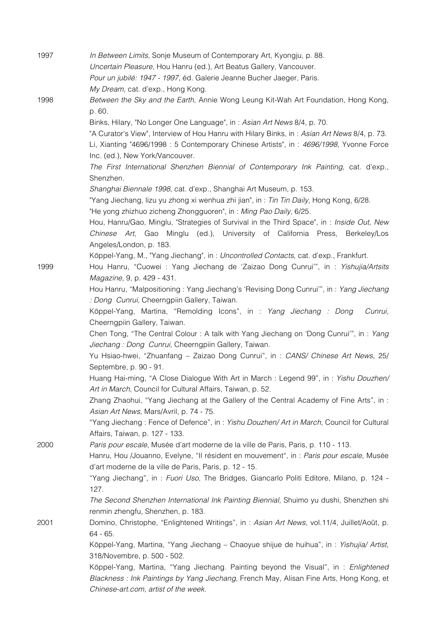| 1997 | In Between Limits, Sonje Museum of Contemporary Art, Kyongju, p. 88.                         |
|------|----------------------------------------------------------------------------------------------|
|      | Uncertain Pleasure, Hou Hanru (ed.), Art Beatus Gallery, Vancouver.                          |
|      | Pour un jubilé: 1947 - 1997, éd. Galerie Jeanne Bucher Jaeger, Paris.                        |
|      | My Dream, cat. d'exp., Hong Kong.                                                            |
| 1998 | Between the Sky and the Earth, Annie Wong Leung Kit-Wah Art Foundation, Hong Kong,           |
|      | p. 60.                                                                                       |
|      | Binks, Hilary, "No Longer One Language", in: Asian Art News 8/4, p. 70.                      |
|      | "A Curator's View", Interview of Hou Hanru with Hilary Binks, in: Asian Art News 8/4, p. 73. |
|      | Li, Xianting "4696/1998: 5 Contemporary Chinese Artists", in: 4696/1998, Yvonne Force        |
|      | Inc. (ed.), New York/Vancouver.                                                              |
|      | The First International Shenzhen Biennial of Contemporary Ink Painting, cat. d'exp.,         |
|      |                                                                                              |
|      | Shenzhen.                                                                                    |
|      | Shanghai Biennale 1998, cat. d'exp., Shanghai Art Museum, p. 153.                            |
|      | "Yang Jiechang, lizu yu zhong xi wenhua zhi jian", in : Tin Tin Daily, Hong Kong, 6/28.      |
|      | "He yong zhizhuo zicheng Zhongguoren", in: Ming Pao Daily, 6/25.                             |
|      | Hou, Hanru/Gao, Minglu, "Strategies of Survival in the Third Space", in : Inside Out, New    |
|      | Chinese Art, Gao Minglu (ed.), University of California Press, Berkeley/Los                  |
|      | Angeles/London, p. 183.                                                                      |
|      | Köppel-Yang, M., "Yang Jiechang", in: Uncontrolled Contacts, cat. d'exp., Frankfurt.         |
| 1999 | Hou Hanru, "Cuowei : Yang Jiechang de 'Zaizao Dong Cunrui'", in : Yishujia/Artsits           |
|      | Magazine, 9, p. 429 - 431.                                                                   |
|      | Hou Hanru, "Malpositioning: Yang Jiechang's 'Revising Dong Cunrui'", in: Yang Jiechang       |
|      | : Dong Cunrui, Cheerngpiin Gallery, Taiwan.                                                  |
|      | Köppel-Yang, Martina, "Remolding Icons", in : Yang Jiechang : Dong<br>Cunrui,                |
|      | Cheerngpiin Gallery, Taiwan.                                                                 |
|      | Chen Tong, "The Central Colour: A talk with Yang Jiechang on 'Dong Cunrui'", in: Yang        |
|      | Jiechang: Dong Cunrui, Cheerngpiin Gallery, Taiwan.                                          |
|      | Yu Hsiao-hwei, "Zhuanfang - Zaizao Dong Cunrui", in : CANS/ Chinese Art News, 25/            |
|      | Septembre, p. 90 - 91.                                                                       |
|      | Huang Hai-ming, "A Close Dialogue With Art in March: Legend 99", in: Yishu Douzhen/          |
|      | Art in March, Council for Cultural Affairs, Taiwan, p. 52.                                   |
|      | Zhang Zhaohui, "Yang Jiechang at the Gallery of the Central Academy of Fine Arts", in:       |
|      | Asian Art News, Mars/Avril, p. 74 - 75.                                                      |
|      | "Yang Jiechang: Fence of Defence", in: Yishu Douzhen/ Art in March, Council for Cultural     |
|      | Affairs, Taiwan, p. 127 - 133.                                                               |
| 2000 | Paris pour escale, Musée d'art moderne de la ville de Paris, Paris, p. 110 - 113.            |
|      | Hanru, Hou /Jouanno, Evelyne, "Il résident en mouvement", in : Paris pour escale, Musée      |
|      | d'art moderne de la ville de Paris, Paris, p. 12 - 15.                                       |
|      | "Yang Jiechang", in: Fuori Uso, The Bridges, Giancarlo Politi Editore, Milano, p. 124 -      |
|      | 127.                                                                                         |
|      | The Second Shenzhen International Ink Painting Biennial, Shuimo yu dushi, Shenzhen shi       |
|      | renmin zhengfu, Shenzhen, p. 183.                                                            |
| 2001 | Domino, Christophe, "Enlightened Writings", in: Asian Art News, vol.11/4, Juillet/Août, p.   |
|      | $64 - 65.$                                                                                   |
|      | Köppel-Yang, Martina, "Yang Jiechang - Chaoyue shijue de huihua", in : Yishujia/ Artist,     |
|      | 318/Novembre, p. 500 - 502.                                                                  |
|      | Köppel-Yang, Martina, "Yang Jiechang. Painting beyond the Visual", in: Enlightened           |
|      | Blackness: Ink Paintings by Yang Jiechang, French May, Alisan Fine Arts, Hong Kong, et       |
|      | Chinese-art.com, artist of the week.                                                         |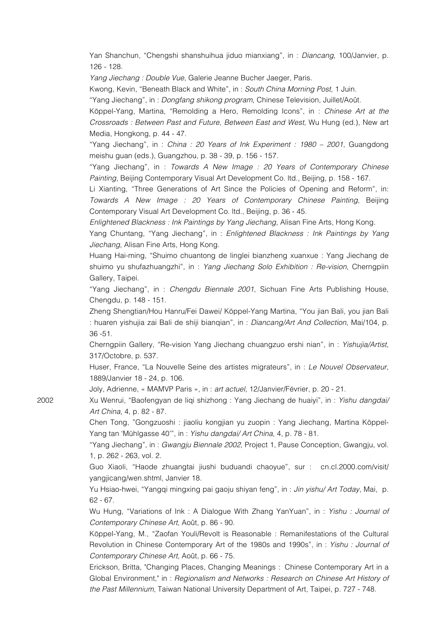Yan Shanchun, "Chengshi shanshuihua jiduo mianxiang", in : *Diancang*, 100/Janvier, p. 126 - 128.

*Yang Jiechang : Double Vue*, Galerie Jeanne Bucher Jaeger, Paris.

Kwong, Kevin, "Beneath Black and White", in : *South China Morning Post*, 1 Juin.

"Yang Jiechang", in : *Dongfang shikong program*, Chinese Television, Juillet/Août.

Köppel-Yang, Martina, "Remolding a Hero, Remolding Icons", in : *Chinese Art at the Crossroads : Between Past and Future, Between East and West*, Wu Hung (ed.), New art Media, Hongkong, p. 44 - 47.

"Yang Jiechang", in : *China : 20 Years of Ink Experiment : 1980 – 2001*, Guangdong meishu guan (eds.), Guangzhou, p. 38 - 39, p. 156 - 157.

"Yang Jiechang", in : *Towards A New Image : 20 Years of Contemporary Chinese Painting*, Beijing Contemporary Visual Art Development Co. ltd., Beijing, p. 158 - 167.

Li Xianting, "Three Generations of Art Since the Policies of Opening and Reform", in: *Towards A New Image : 20 Years of Contemporary Chinese Painting*, Beijing Contemporary Visual Art Development Co. ltd., Beijing, p. 36 - 45.

*Enlightened Blackness : Ink Paintings by Yang Jiechang*, Alisan Fine Arts, Hong Kong.

Yang Chuntang, "Yang Jiechang", in : *Enlightened Blackness : Ink Paintings by Yang Jiechang*, Alisan Fine Arts, Hong Kong.

Huang Hai-ming, "Shuimo chuantong de linglei bianzheng xuanxue : Yang Jiechang de shuimo yu shufazhuangzhi", in : *Yang Jiechang Solo Exhibition : Re-vision*, Cherngpiin Gallery, Taipei.

"Yang Jiechang", in : *Chengdu Biennale 2001*, Sichuan Fine Arts Publishing House, Chengdu, p. 148 - 151.

Zheng Shengtian/Hou Hanru/Fei Dawei/ Köppel-Yang Martina, "You jian Bali, you jian Bali : huaren yishujia zai Bali de shiji bianqian", in : *Diancang/Art And Collection*, Mai/104, p. 36 -51.

Cherngpiin Gallery, "Re-vision Yang Jiechang chuangzuo ershi nian", in : *Yishujia/Artist*, 317/Octobre, p. 537.

Huser, France, "La Nouvelle Seine des artistes migrateurs", in : *Le Nouvel Observateur*, 1889/Janvier 18 - 24, p. 106.

Joly, Adrienne, « MAMVP Paris », in : *art actuel*, 12/Janvier/Février, p. 20 - 21.

2002 Xu Wenrui, "Baofengyan de liqi shizhong : Yang Jiechang de huaiyi", in : *Yishu dangdai/ Art China*, 4, p. 82 - 87.

> Chen Tong, "Gongzuoshi : jiaoliu kongjian yu zuopin : Yang Jiechang, Martina Köppel-Yang tan 'Mühlgasse 40'", in : *Yishu dangdai/ Art China*, 4, p. 78 - 81.

> "Yang Jiechang", in : *Gwangju Biennale 2002*, Project 1, Pause Conception, Gwangju, vol. 1, p. 262 - 263, vol. 2.

> Guo Xiaoli, "Haode zhuangtai jiushi buduandi chaoyue", sur : cn.cl.2000.com/visit/ yangjicang/wen.shtml, Janvier 18.

> Yu Hsiao-hwei, "Yangqi mingxing pai gaoju shiyan feng", in : *Jin yishu/ Art Today*, Mai, p. 62 - 67.

> Wu Hung, "Variations of Ink : A Dialogue With Zhang YanYuan", in : *Yishu : Journal of Contemporary Chinese Art*, Août, p. 86 - 90.

> Köppel-Yang, M., "Zaofan Youli/Revolt is Reasonable : Remanifestations of the Cultural Revolution in Chinese Contemporary Art of the 1980s and 1990s", in : *Yishu : Journal of Contemporary Chinese Art*, Août, p. 66 - 75.

> Erickson, Britta, "Changing Places, Changing Meanings : Chinese Contemporary Art in a Global Environment," in : *Regionalism and Networks : Research on Chinese Art History of the Past Millennium*, Taiwan National University Department of Art, Taipei, p. 727 - 748.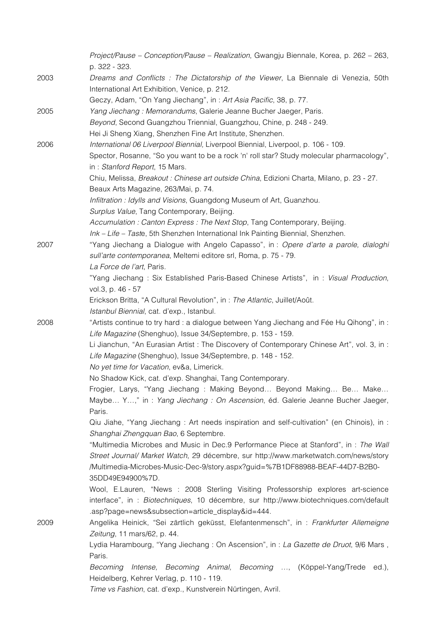|      | Project/Pause - Conception/Pause - Realization, Gwangju Biennale, Korea, p. 262 - 263,<br>p. 322 - 323.                                                                    |
|------|----------------------------------------------------------------------------------------------------------------------------------------------------------------------------|
| 2003 | Dreams and Conflicts: The Dictatorship of the Viewer, La Biennale di Venezia, 50th<br>International Art Exhibition, Venice, p. 212.                                        |
|      | Geczy, Adam, "On Yang Jiechang", in: Art Asia Pacific, 38, p. 77.                                                                                                          |
| 2005 | Yang Jiechang: Memorandums, Galerie Jeanne Bucher Jaeger, Paris.                                                                                                           |
|      | Beyond, Second Guangzhou Triennial, Guangzhou, Chine, p. 248 - 249.                                                                                                        |
|      | Hei Ji Sheng Xiang, Shenzhen Fine Art Institute, Shenzhen.                                                                                                                 |
| 2006 | International 06 Liverpool Biennial, Liverpool Biennial, Liverpool, p. 106 - 109.                                                                                          |
|      | Spector, Rosanne, "So you want to be a rock 'n' roll star? Study molecular pharmacology",<br>in: Stanford Report, 15 Mars.                                                 |
|      | Chiu, Melissa, Breakout : Chinese art outside China, Edizioni Charta, Milano, p. 23 - 27.<br>Beaux Arts Magazine, 263/Mai, p. 74.                                          |
|      | Infiltration : Idylls and Visions, Guangdong Museum of Art, Guanzhou.                                                                                                      |
|      | Surplus Value, Tang Contemporary, Beijing.                                                                                                                                 |
|      | Accumulation: Canton Express: The Next Stop, Tang Contemporary, Beijing.                                                                                                   |
|      | Ink - Life - Taste, 5th Shenzhen International Ink Painting Biennial, Shenzhen.                                                                                            |
| 2007 | "Yang Jiechang a Dialogue with Angelo Capasso", in: Opere d'arte a parole, dialoghi                                                                                        |
|      | sull'arte contemporanea, Meltemi editore srl, Roma, p. 75 - 79.<br>La Force de l'art, Paris.                                                                               |
|      | "Yang Jiechang: Six Established Paris-Based Chinese Artists", in: Visual Production,<br>vol.3, p. 46 - 57                                                                  |
|      | Erickson Britta, "A Cultural Revolution", in : The Atlantic, Juillet/Août.<br>Istanbul Biennial, cat. d'exp., Istanbul.                                                    |
| 2008 | "Artists continue to try hard : a dialogue between Yang Jiechang and Fée Hu Qihong", in :<br>Life Magazine (Shenghuo), Issue 34/Septembre, p. 153 - 159.                   |
|      | Li Jianchun, "An Eurasian Artist : The Discovery of Contemporary Chinese Art", vol. 3, in :<br>Life Magazine (Shenghuo), Issue 34/Septembre, p. 148 - 152.                 |
|      | No yet time for Vacation, ev&a, Limerick.                                                                                                                                  |
|      | No Shadow Kick, cat. d'exp. Shanghai, Tang Contemporary.                                                                                                                   |
|      | Frogier, Larys, "Yang Jiechang: Making Beyond Beyond Making Be Make<br>Maybe Y," in : Yang Jiechang : On Ascension, éd. Galerie Jeanne Bucher Jaeger,                      |
|      | Paris.                                                                                                                                                                     |
|      | Qiu Jiahe, "Yang Jiechang: Art needs inspiration and self-cultivation" (en Chinois), in:<br>Shanghai Zhengquan Bao, 6 Septembre.                                           |
|      | "Multimedia Microbes and Music in Dec.9 Performance Piece at Stanford", in : The Wall                                                                                      |
|      | Street Journal/ Market Watch, 29 décembre, sur http://www.marketwatch.com/news/story                                                                                       |
|      | /Multimedia-Microbes-Music-Dec-9/story.aspx?guid=%7B1DF88988-BEAF-44D7-B2B0-<br>35DD49E94900%7D.                                                                           |
|      | Wool, E.Lauren, "News : 2008 Sterling Visiting Professorship explores art-science<br>interface", in : Biotechniques, 10 décembre, sur http://www.biotechniques.com/default |
| 2009 | .asp?page=news&subsection=article_display&id=444.<br>Angelika Heinick, "Sei zärtlich geküsst, Elefantenmensch", in : Frankfurter Allemeigne                                |
|      | Zeitung, 11 mars/62, p. 44.<br>Lydia Harambourg, "Yang Jiechang: On Ascension", in: La Gazette de Druot, 9/6 Mars,                                                         |
|      | Paris.<br>Intense, Becoming Animal, Becoming , (Köppel-Yang/Trede ed.),<br>Becoming<br>Heidelberg, Kehrer Verlag, p. 110 - 119.                                            |
|      | Time vs Fashion, cat. d'exp., Kunstverein Nürtingen, Avril.                                                                                                                |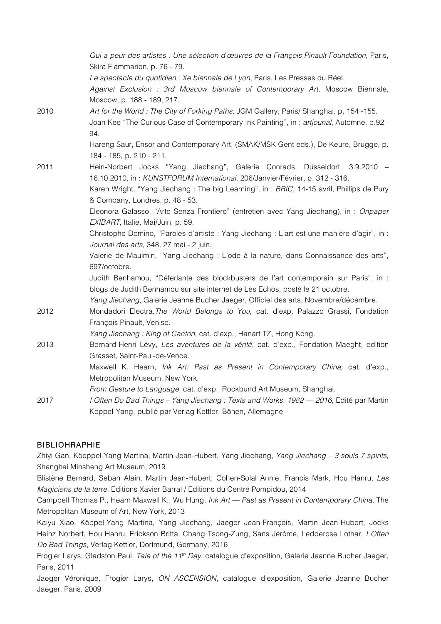*Qui a peur des artistes : Une sélection d'œuvres de la François Pinault Foundation*, Paris, Skira Flammarion, p. 76 - 79. *Le spectacle du quotidien : Xe biennale de Lyon*, Paris, Les Presses du Réel. *Against Exclusion : 3rd Moscow biennale of Contemporary Art*, Moscow Biennale, Moscow, p. 188 - 189, 217. 2010 *Art for the World : The City of Forking Paths*, JGM Gallery, Paris/ Shanghai, p. 154 -155. Joan Kee "The Curious Case of Contemporary Ink Painting", in : *artjounal*, Automne, p.92 - 94. Hareng Saur, Ensor and Contemporary Art, (SMAK/MSK Gent eds.), De Keure, Brugge, p. 184 - 185, p. 210 - 211. 2011 Hein-Norbert Jocks "Yang Jiechang", Galerie Conrads, Düsseldorf, 3.9.2010 – 16.10.2010, in : *KUNSTFORUM International*, 206/Janvier/Février, p. 312 - 316. Karen Wright, "Yang Jiechang : The big Learning", in : *BRIC*, 14-15 avril, Phillips de Pury & Company, Londres, p. 48 - 53. Eleonora Galasso, "Arte Senza Frontiere" (entretien avec Yang Jiechang), in : *Onpaper EXIBART*, Italie, Mai/Juin, p. 59. Christophe Domino, "Paroles d'artiste : Yang Jiechang : L'art est une manière d'agir", in : *Journal des arts*, 348, 27 mai - 2 juin. Valerie de Maulmin, "Yang Jiechang : L'ode à la nature, dans Connaissance des arts", 697/octobre. Judith Benhamou, "Déferlante des blockbusters de l'art contemporain sur Paris", in : blogs de Judith Benhamou sur site internet de Les Echos, posté le 21 octobre. *Yang Jiechang*, Galerie Jeanne Bucher Jaeger, Officiel des arts, Novembre/décembre. 2012 Mondadori Electra,*The World Belongs to You*, cat. d'exp. Palazzo Grassi, Fondation François Pinault, Venise. *Yang Jiechang : King of Canton*, cat. d'exp., Hanart TZ, Hong Kong. 2013 Bernard-Henri Lévy, *Les aventures de la vérité*, cat. d'exp., Fondation Maeght, edition Grasset, Saint-Paul-de-Vence. Maxwell K. Hearn, *Ink Art: Past as Present in Contemporary China,* cat. d'exp., Metropolitan Museum, New York. *From Gesture to Language*, cat. d'exp., Rockbund Art Museum, Shanghai. 2017 *I Often Do Bad Things – Yang Jiechang : Texts and Works. 1982 — 2016*, Edité par Martin Köppel-Yang, publié par Verlag Kettler, Bönen, Allemagne

### BIBLIOHRAPHIE

Zhiyi Gan, Köeppel-Yang Martina, Martin Jean-Hubert, Yang Jiechang, *Yang Jiechang – 3 souls 7 spirits*, Shanghai Minsheng Art Museum, 2019

Blistène Bernard, Seban Alain, Martin Jean-Hubert, Cohen-Solal Annie, Francis Mark, Hou Hanru, *Les Magiciens de la terre*, Editions Xavier Barral / Editions du Centre Pompidou, 2014

Campbell Thomas P., Hearn Maxwell K., Wu Hung, *Ink Art — Past as Present in Contemporary China*, The Metropolitan Museum of Art, New York, 2013

Kaiyu Xiao, Köppel-Yang Martina, Yang Jiechang, Jaeger Jean-François, Martin Jean-Hubert, Jocks Heinz Norbert, Hou Hanru, Erickson Britta, Chang Tsong-Zung, Sans Jérôme, Ledderose Lothar, *I Often Do Bad Things*, Verlag Kettler, Dortmund, Germany, 2016

Frogier Larys, Gladston Paul, *Tale of the 11th Day*, catalogue d'exposition, Galerie Jeanne Bucher Jaeger, Paris, 2011

Jaeger Véronique, Frogier Larys, *ON ASCENSION*, catalogue d'exposition, Galerie Jeanne Bucher Jaeger, Paris, 2009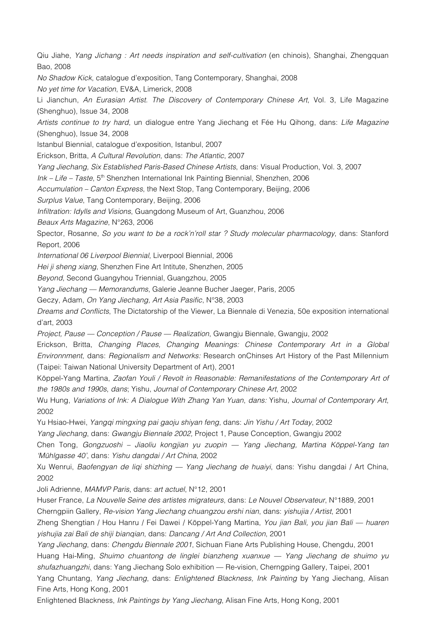Qiu Jiahe, *Yang Jichang : Art needs inspiration and self-cultivation* (en chinois), Shanghai, Zhengquan Bao, 2008

*No Shadow Kick*, catalogue d'exposition, Tang Contemporary, Shanghai, 2008

*No yet time for Vacation*, EV&A, Limerick, 2008

Li Jianchun, *An Eurasian Artist. The Discovery of Contemporary Chinese Art*, Vol. 3, Life Magazine (Shenghuo), Issue 34, 2008

*Artists continue to try hard*, un dialogue entre Yang Jiechang et Fée Hu Qihong, dans: *Life Magazine* (Shenghuo), Issue 34, 2008

Istanbul Biennial, catalogue d'exposition, Istanbul, 2007

Erickson, Britta, *A Cultural Revolution*, dans: *The Atlantic*, 2007

*Yang Jiechang, Six Established Paris-Based Chinese Artists*, dans: Visual Production, Vol. 3, 2007

*Ink – Life – Taste*, 5th Shenzhen International Ink Painting Biennial, Shenzhen, 2006

*Accumulation – Canton Express*, the Next Stop, Tang Contemporary, Beijing, 2006

*Surplus Value*, Tang Contemporary, Beijing, 2006

*Infiltration: Idylls and Visions*, Guangdong Museum of Art, Guanzhou, 2006

*Beaux Arts Magazine*, N°263, 2006

Spector, Rosanne, *So you want to be a rock'n'roll star ? Study molecular pharmacology*, dans: Stanford Report, 2006

*International 06 Liverpool Biennial*, Liverpool Biennial, 2006

*Hei ji sheng xiang*, Shenzhen Fine Art Intitute, Shenzhen, 2005

*Beyond*, Second Guangyhou Triennial, Guangzhou, 2005

*Yang Jiechang — Memorandums*, Galerie Jeanne Bucher Jaeger, Paris, 2005

Geczy, Adam, *On Yang Jiechang, Art Asia Pasific*, N°38, 2003

*Dreams and Conflicts*, The Dictatorship of the Viewer, La Biennale di Venezia, 50e exposition international d'art, 2003

*Project, Pause — Conception / Pause — Realization*, Gwangju Biennale, Gwangju, 2002

Erickson, Britta, *Changing Places, Changing Meanings: Chinese Contemporary Art in a Global Environnment*, dans: *Regionalism and Networks:* Research onChinses Art History of the Past Millennium (Taipei: Taiwan National University Department of Art), 2001

Köppel-Yang Martina, *Zaofan Youli / Revolt in Reasonable: Remanifestations of the Contemporary Art of the 1980s and 1990s*, *dans*; Yishu, *Journal of Contemporary Chinese Art*, 2002

Wu Hung, *Variations of Ink: A Dialogue With Zhang Yan Yuan*, *dans:* Yishu, *Journal of Contemporary Art*, 2002

Yu Hsiao-Hwei, *Yangqi mingxing pai gaoju shiyan feng*, dans: *Jin Yishu / Art Today*, 2002

*Yang Jiechang*, dans: *Gwangju Biennale 2002,* Project 1, Pause Conception, Gwangju 2002

Chen Tong, *Gongzuoshi – Jiaoliu kongjian yu zuopin — Yang Jiechang, Martina Köppel-Yang tan 'Mühlgasse 40'*, dans: *Yishu dangdai / Art China*, 2002

Xu Wenrui, *Baofengyan de liqi shizhing — Yang Jiechang de huaiyi*, dans: Yishu dangdai / Art China, 2002

Joli Adrienne, *MAMVP Paris*, dans: *art actuel*, N°12, 2001

Huser France, *La Nouvelle Seine des artistes migrateurs*, dans: *Le Nouvel Observateur*, N°1889, 2001

Cherngpiin Gallery, *Re-vision Yang Jiechang chuangzou ershi nian*, dans: *yishujia / Artist*, 2001

Zheng Shengtian / Hou Hanru / Fei Dawei / Köppel-Yang Martina, *You jian Bali, you jian Bali — huaren yishujia zai Bali de shiji bianqian*, dans: *Dancang / Art And Collection*, 2001

*Yang Jiechang*, dans: *Chengdu Biennale 2001*, Sichuan Fiane Arts Publishing House, Chengdu, 2001 Huang Hai-Ming, *Shuimo chuantong de linglei bianzheng xuanxue — Yang Jiechang de shuimo yu shufazhuangzhi*, dans: Yang Jiechang Solo exhibition — Re-vision, Cherngping Gallery, Taipei, 2001 Yang Chuntang, *Yang Jiechang*, dans: *Enlightened Blackness, Ink Painting* by Yang Jiechang, Alisan Fine Arts, Hong Kong, 2001

Enlightened Blackness, *Ink Paintings by Yang Jiechang*, Alisan Fine Arts, Hong Kong, 2001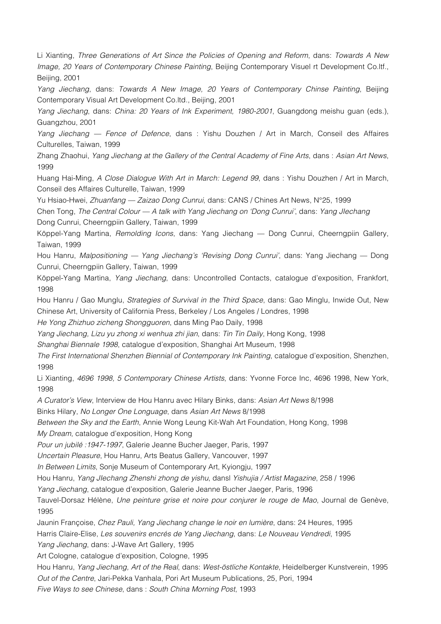Li Xianting, *Three Generations of Art Since the Policies of Opening and Reform*, dans: *Towards A New Image, 20 Years of Contemporary Chinese Painting*, Beijing Contemporary Visuel rt Development Co.ltf., Beijing, 2001

*Yang Jiechang*, dans: *Towards A New Image, 20 Years of Contemporary Chinse Painting*, Beijing Contemporary Visual Art Development Co.ltd., Beijing, 2001

*Yang Jiechang*, dans: *China: 20 Years of Ink Experiment, 1980-2001*, Guangdong meishu guan (eds.), Guangzhou, 2001

*Yang Jiechang — Fence of Defence*, dans : Yishu Douzhen / Art in March, Conseil des Affaires Culturelles, Taiwan, 1999

Zhang Zhaohui, *Yang Jiechang at the Gallery of the Central Academy of Fine Arts*, dans : *Asian Art News*, 1999

Huang Hai-Ming, *A Close Dialogue With Art in March: Legend 99*, dans : Yishu Douzhen / Art in March, Conseil des Affaires Culturelle, Taiwan, 1999

Yu Hsiao-Hwei, *Zhuanfang — Zaizao Dong Cunrui*, dans: CANS / Chines Art News, N°25, 1999

Chen Tong, *The Central Colour — A talk with Yang Jiechang on 'Dong Cunrui'*, dans: *Yang JIechang* Dong Cunrui, Cheerngpiin Gallery, Taiwan, 1999

Köppel-Yang Martina, *Remolding Icons*, dans: Yang Jiechang — Dong Cunrui, Cheerngpiin Gallery, Taiwan, 1999

Hou Hanru, *Malpositioning — Yang Jiechang's 'Revising Dong Cunrui'*, dans: Yang Jiechang — Dong Cunrui, Cheerngpiin Gallery, Taiwan, 1999

Köppel-Yang Martina, *Yang Jiechang*, dans: Uncontrolled Contacts, catalogue d'exposition, Frankfort, 1998

Hou Hanru / Gao Munglu, *Strategies of Survival in the Third Space*, dans: Gao Minglu, Inwide Out, New Chinese Art, University of California Press, Berkeley / Los Angeles / Londres, 1998

*He Yong Zhizhuo zicheng Shongguoren*, dans Ming Pao Daily, 1998

*Yang Jiechang, Lizu yu zhong xi wenhua zhi jian*, dans: *Tin Tin Daily*, Hong Kong, 1998

*Shanghai Biennale 1998*, catalogue d'exposition, Shanghai Art Museum, 1998

*The First International Shenzhen Biennial of Contemporary Ink Painting*, catalogue d'exposition, Shenzhen, 1998

Li Xianting, *4696 1998, 5 Contemporary Chinese Artists*, dans: Yvonne Force Inc, 4696 1998, New York, 1998

*A Curator's View*, Interview de Hou Hanru avec Hilary Binks, dans: *Asian Art News* 8/1998

Binks Hilary, *No Longer One Longuage*, dans *Asian Art News* 8/1998

*Between the Sky and the Earth*, Annie Wong Leung Kit-Wah Art Foundation, Hong Kong, 1998

*My Dream*, catalogue d'exposition, Hong Kong

*Pour un jubilé :1947-1997*, Galerie Jeanne Bucher Jaeger, Paris, 1997

*Uncertain Pleasure*, Hou Hanru, Arts Beatus Gallery, Vancouver, 1997

*In Between Limits*, Sonje Museum of Contemporary Art, Kyiongju, 1997

Hou Hanru, *Yang JIechang Zhenshi zhong de yishu*, dansl *Yishujia / Artist Magazine*, 258 / 1996

*Yang Jiechang*, catalogue d'exposition, Galerie Jeanne Bucher Jaeger, Paris, 1996

Tauvel-Dorsaz Hélène, *Une peinture grise et noire pour conjurer le rouge de Mao*, Journal de Genève, 1995

Jaunin Françoise, *Chez Pauli, Yang Jiechang change le noir en lumière*, dans: 24 Heures, 1995 Harris Claire-Elise, *Les souvenirs encrés de Yang Jiechang*, dans: *Le Nouveau Vendredi*, 1995

*Yang Jiechang*, dans: J-Wave Art Gallery, 1995

Art Cologne, catalogue d'exposition, Cologne, 1995

Hou Hanru, *Yang Jiechang, Art of the Real*, dans: *West-östliche Kontakte*, Heidelberger Kunstverein, 1995 *Out of the Centre*, Jari-Pekka Vanhala, Pori Art Museum Publications, 25, Pori, 1994

*Five Ways to see Chinese*, dans : *South China Morning Post*, 1993